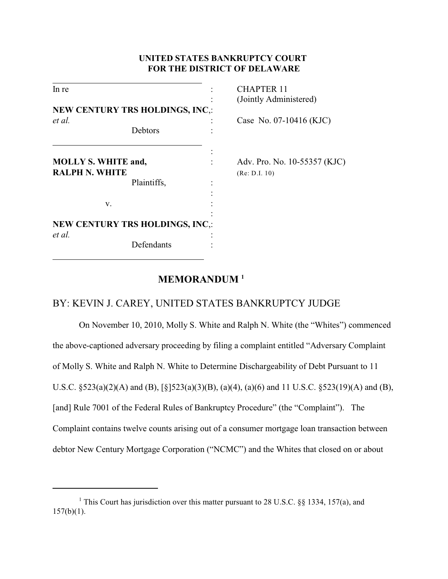## **UNITED STATES BANKRUPTCY COURT FOR THE DISTRICT OF DELAWARE**

| In re                                               |                                        | CHAPTER 11                   |
|-----------------------------------------------------|----------------------------------------|------------------------------|
|                                                     |                                        | (Jointly Administered)       |
|                                                     | <b>NEW CENTURY TRS HOLDINGS, INC.:</b> |                              |
| et al.                                              |                                        | Case No. 07-10416 (KJC)      |
|                                                     | Debtors                                |                              |
| <b>MOLLY S. WHITE and,</b><br><b>RALPH N. WHITE</b> |                                        | Adv. Pro. No. 10-55357 (KJC) |
|                                                     | Plaintiffs,                            | (Re: D.I. 10)                |
| v.                                                  |                                        |                              |
| et al.                                              | <b>NEW CENTURY TRS HOLDINGS, INC.:</b> |                              |
|                                                     | Defendants                             |                              |

# **MEMORANDUM <sup>1</sup>**

 $\overline{a}$ 

# BY: KEVIN J. CAREY, UNITED STATES BANKRUPTCY JUDGE

On November 10, 2010, Molly S. White and Ralph N. White (the "Whites") commenced the above-captioned adversary proceeding by filing a complaint entitled "Adversary Complaint of Molly S. White and Ralph N. White to Determine Dischargeability of Debt Pursuant to 11 U.S.C. §523(a)(2)(A) and (B), [§]523(a)(3)(B), (a)(4), (a)(6) and 11 U.S.C. §523(19)(A) and (B), [and] Rule 7001 of the Federal Rules of Bankruptcy Procedure" (the "Complaint"). The Complaint contains twelve counts arising out of a consumer mortgage loan transaction between debtor New Century Mortgage Corporation ("NCMC") and the Whites that closed on or about

<sup>&</sup>lt;sup>1</sup> This Court has jurisdiction over this matter pursuant to 28 U.S.C. §§ 1334, 157(a), and  $157(b)(1)$ .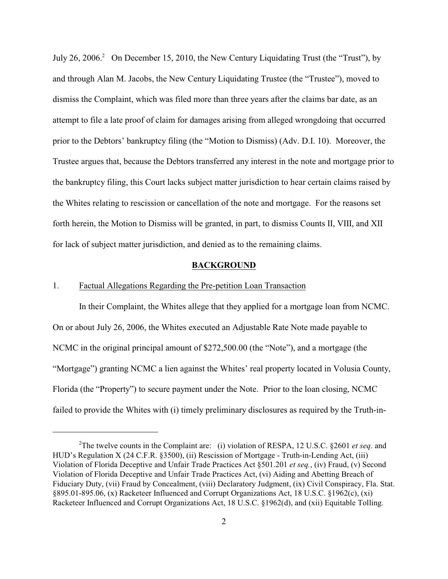July 26, 2006.<sup>2</sup> On December 15, 2010, the New Century Liquidating Trust (the "Trust"), by and through Alan M. Jacobs, the New Century Liquidating Trustee (the "Trustee"), moved to dismiss the Complaint, which was filed more than three years after the claims bar date, as an attempt to file a late proof of claim for damages arising from alleged wrongdoing that occurred prior to the Debtors' bankruptcy filing (the "Motion to Dismiss) (Adv. D.I. 10). Moreover, the Trustee argues that, because the Debtors transferred any interest in the note and mortgage prior to the bankruptcy filing, this Court lacks subject matter jurisdiction to hear certain claims raised by the Whites relating to rescission or cancellation of the note and mortgage. For the reasons set forth herein, the Motion to Dismiss will be granted, in part, to dismiss Counts II, VIII, and XII for lack of subject matter jurisdiction, and denied as to the remaining claims.

### **BACKGROUND**

## 1. Factual Allegations Regarding the Pre-petition Loan Transaction

In their Complaint, the Whites allege that they applied for a mortgage loan from NCMC. On or about July 26, 2006, the Whites executed an Adjustable Rate Note made payable to NCMC in the original principal amount of \$272,500.00 (the "Note"), and a mortgage (the "Mortgage") granting NCMC a lien against the Whites' real property located in Volusia County, Florida (the "Property") to secure payment under the Note. Prior to the loan closing, NCMC failed to provide the Whites with (i) timely preliminary disclosures as required by the Truth-in-

<sup>&</sup>lt;sup>2</sup>The twelve counts in the Complaint are: (i) violation of RESPA, 12 U.S.C. §2601 *et seq.* and HUD's Regulation X (24 C.F.R. §3500), (ii) Rescission of Mortgage - Truth-in-Lending Act, (iii) Violation of Florida Deceptive and Unfair Trade Practices Act §501.201 *et seq.*, (iv) Fraud, (v) Second Violation of Florida Deceptive and Unfair Trade Practices Act, (vi) Aiding and Abetting Breach of Fiduciary Duty, (vii) Fraud by Concealment, (viii) Declaratory Judgment, (ix) Civil Conspiracy, Fla. Stat. §895.01-895.06, (x) Racketeer Influenced and Corrupt Organizations Act, 18 U.S.C. §1962(c), (xi) Racketeer Influenced and Corrupt Organizations Act, 18 U.S.C. §1962(d), and (xii) Equitable Tolling.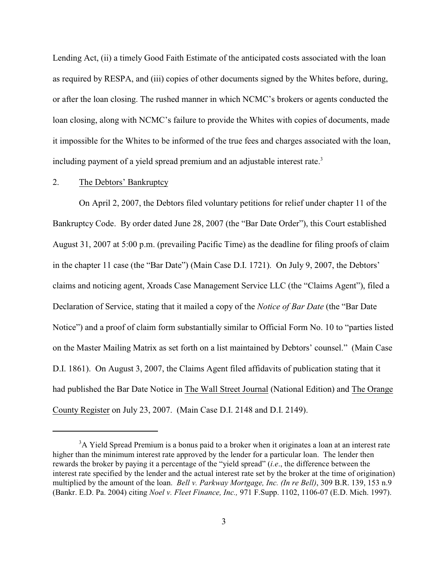Lending Act, (ii) a timely Good Faith Estimate of the anticipated costs associated with the loan as required by RESPA, and (iii) copies of other documents signed by the Whites before, during, or after the loan closing. The rushed manner in which NCMC's brokers or agents conducted the loan closing, along with NCMC's failure to provide the Whites with copies of documents, made it impossible for the Whites to be informed of the true fees and charges associated with the loan, including payment of a yield spread premium and an adjustable interest rate.<sup>3</sup>

## 2. The Debtors' Bankruptcy

On April 2, 2007, the Debtors filed voluntary petitions for relief under chapter 11 of the Bankruptcy Code. By order dated June 28, 2007 (the "Bar Date Order"), this Court established August 31, 2007 at 5:00 p.m. (prevailing Pacific Time) as the deadline for filing proofs of claim in the chapter 11 case (the "Bar Date") (Main Case D.I. 1721). On July 9, 2007, the Debtors' claims and noticing agent, Xroads Case Management Service LLC (the "Claims Agent"), filed a Declaration of Service, stating that it mailed a copy of the *Notice of Bar Date* (the "Bar Date Notice") and a proof of claim form substantially similar to Official Form No. 10 to "parties listed on the Master Mailing Matrix as set forth on a list maintained by Debtors' counsel." (Main Case D.I. 1861). On August 3, 2007, the Claims Agent filed affidavits of publication stating that it had published the Bar Date Notice in The Wall Street Journal (National Edition) and The Orange County Register on July 23, 2007. (Main Case D.I. 2148 and D.I. 2149).

 $3A$  Yield Spread Premium is a bonus paid to a broker when it originates a loan at an interest rate higher than the minimum interest rate approved by the lender for a particular loan. The lender then rewards the broker by paying it a percentage of the "yield spread" (*i.e*., the difference between the interest rate specified by the lender and the actual interest rate set by the broker at the time of origination) multiplied by the amount of the loan. *Bell v. Parkway Mortgage, Inc. (In re Bell)*, 309 B.R. 139, 153 n.9 (Bankr. E.D. Pa. 2004) citing *Noel v. Fleet Finance, Inc.,* 971 F.Supp. 1102, 1106-07 (E.D. Mich. 1997).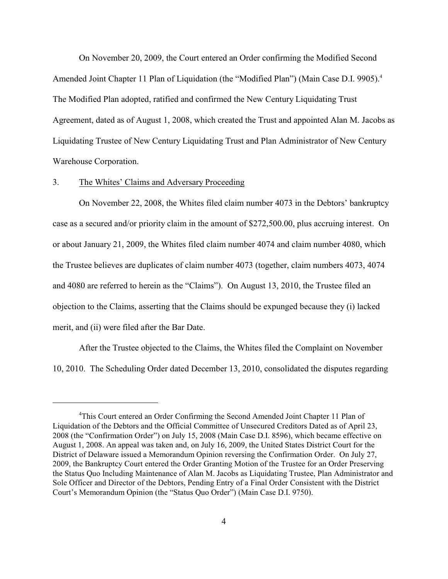On November 20, 2009, the Court entered an Order confirming the Modified Second Amended Joint Chapter 11 Plan of Liquidation (the "Modified Plan") (Main Case D.I. 9905).<sup>4</sup> The Modified Plan adopted, ratified and confirmed the New Century Liquidating Trust Agreement, dated as of August 1, 2008, which created the Trust and appointed Alan M. Jacobs as Liquidating Trustee of New Century Liquidating Trust and Plan Administrator of New Century Warehouse Corporation.

### 3. The Whites' Claims and Adversary Proceeding

On November 22, 2008, the Whites filed claim number 4073 in the Debtors' bankruptcy case as a secured and/or priority claim in the amount of \$272,500.00, plus accruing interest. On or about January 21, 2009, the Whites filed claim number 4074 and claim number 4080, which the Trustee believes are duplicates of claim number 4073 (together, claim numbers 4073, 4074 and 4080 are referred to herein as the "Claims"). On August 13, 2010, the Trustee filed an objection to the Claims, asserting that the Claims should be expunged because they (i) lacked merit, and (ii) were filed after the Bar Date.

After the Trustee objected to the Claims, the Whites filed the Complaint on November 10, 2010. The Scheduling Order dated December 13, 2010, consolidated the disputes regarding

<sup>&</sup>lt;sup>4</sup>This Court entered an Order Confirming the Second Amended Joint Chapter 11 Plan of Liquidation of the Debtors and the Official Committee of Unsecured Creditors Dated as of April 23, 2008 (the "Confirmation Order") on July 15, 2008 (Main Case D.I. 8596), which became effective on August 1, 2008. An appeal was taken and, on July 16, 2009, the United States District Court for the District of Delaware issued a Memorandum Opinion reversing the Confirmation Order. On July 27, 2009, the Bankruptcy Court entered the Order Granting Motion of the Trustee for an Order Preserving the Status Quo Including Maintenance of Alan M. Jacobs as Liquidating Trustee, Plan Administrator and Sole Officer and Director of the Debtors, Pending Entry of a Final Order Consistent with the District Court's Memorandum Opinion (the "Status Quo Order") (Main Case D.I. 9750).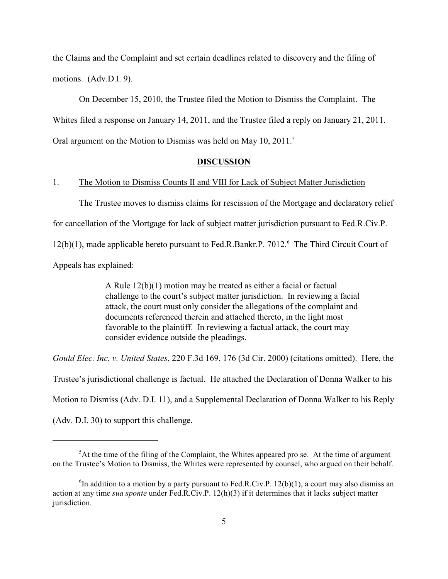the Claims and the Complaint and set certain deadlines related to discovery and the filing of motions. (Adv.D.I. 9).

On December 15, 2010, the Trustee filed the Motion to Dismiss the Complaint. The Whites filed a response on January 14, 2011, and the Trustee filed a reply on January 21, 2011. Oral argument on the Motion to Dismiss was held on May 10, 2011.<sup>5</sup>

#### **DISCUSSION**

## 1. The Motion to Dismiss Counts II and VIII for Lack of Subject Matter Jurisdiction

The Trustee moves to dismiss claims for rescission of the Mortgage and declaratory relief for cancellation of the Mortgage for lack of subject matter jurisdiction pursuant to Fed.R.Civ.P.  $12(b)(1)$ , made applicable hereto pursuant to Fed.R.Bankr.P. 7012.<sup>6</sup> The Third Circuit Court of Appeals has explained:

> A Rule 12(b)(1) motion may be treated as either a facial or factual challenge to the court's subject matter jurisdiction. In reviewing a facial attack, the court must only consider the allegations of the complaint and documents referenced therein and attached thereto, in the light most favorable to the plaintiff. In reviewing a factual attack, the court may consider evidence outside the pleadings.

*Gould Elec. Inc. v. United States*, 220 F.3d 169, 176 (3d Cir. 2000) (citations omitted). Here, the Trustee's jurisdictional challenge is factual. He attached the Declaration of Donna Walker to his Motion to Dismiss (Adv. D.I. 11), and a Supplemental Declaration of Donna Walker to his Reply (Adv. D.I. 30) to support this challenge.

 ${}^{5}$ At the time of the filing of the Complaint, the Whites appeared pro se. At the time of argument on the Trustee's Motion to Dismiss, the Whites were represented by counsel, who argued on their behalf.

 ${}^{6}$ In addition to a motion by a party pursuant to Fed.R.Civ.P. 12(b)(1), a court may also dismiss an action at any time *sua sponte* under Fed.R.Civ.P. 12(h)(3) if it determines that it lacks subject matter jurisdiction.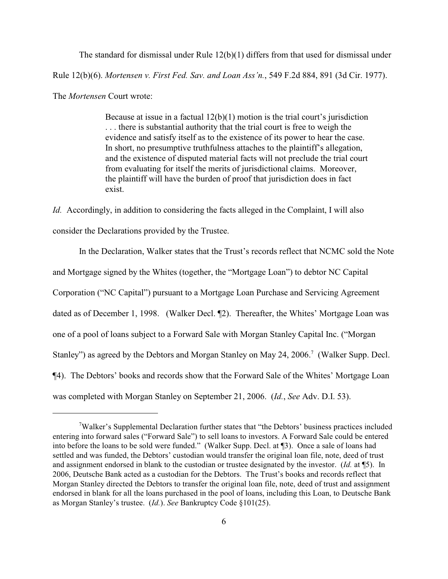The standard for dismissal under Rule 12(b)(1) differs from that used for dismissal under Rule 12(b)(6). *Mortensen v. First Fed. Sav. and Loan Ass'n.*, 549 F.2d 884, 891 (3d Cir. 1977). The *Mortensen* Court wrote:

> Because at issue in a factual  $12(b)(1)$  motion is the trial court's jurisdiction . . . there is substantial authority that the trial court is free to weigh the evidence and satisfy itself as to the existence of its power to hear the case. In short, no presumptive truthfulness attaches to the plaintiff's allegation, and the existence of disputed material facts will not preclude the trial court from evaluating for itself the merits of jurisdictional claims. Moreover, the plaintiff will have the burden of proof that jurisdiction does in fact exist.

*Id.* Accordingly, in addition to considering the facts alleged in the Complaint, I will also consider the Declarations provided by the Trustee.

In the Declaration, Walker states that the Trust's records reflect that NCMC sold the Note and Mortgage signed by the Whites (together, the "Mortgage Loan") to debtor NC Capital Corporation ("NC Capital") pursuant to a Mortgage Loan Purchase and Servicing Agreement dated as of December 1, 1998. (Walker Decl. ¶2). Thereafter, the Whites' Mortgage Loan was one of a pool of loans subject to a Forward Sale with Morgan Stanley Capital Inc. ("Morgan Stanley") as agreed by the Debtors and Morgan Stanley on May 24, 2006.<sup>7</sup> (Walker Supp. Decl. ¶4). The Debtors' books and records show that the Forward Sale of the Whites' Mortgage Loan was completed with Morgan Stanley on September 21, 2006. (*Id.*, *See* Adv. D.I. 53).

 $\alpha$ <sup>7</sup>Walker's Supplemental Declaration further states that "the Debtors' business practices included entering into forward sales ("Forward Sale") to sell loans to investors. A Forward Sale could be entered into before the loans to be sold were funded." (Walker Supp. Decl. at ¶3). Once a sale of loans had settled and was funded, the Debtors' custodian would transfer the original loan file, note, deed of trust and assignment endorsed in blank to the custodian or trustee designated by the investor. (*Id.* at ¶5). In 2006, Deutsche Bank acted as a custodian for the Debtors. The Trust's books and records reflect that Morgan Stanley directed the Debtors to transfer the original loan file, note, deed of trust and assignment endorsed in blank for all the loans purchased in the pool of loans, including this Loan, to Deutsche Bank as Morgan Stanley's trustee. (*Id.*). *See* Bankruptcy Code §101(25).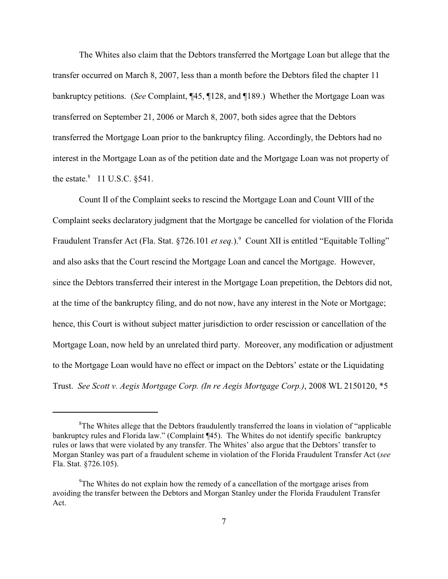The Whites also claim that the Debtors transferred the Mortgage Loan but allege that the transfer occurred on March 8, 2007, less than a month before the Debtors filed the chapter 11 bankruptcy petitions. (*See* Complaint, ¶45, ¶128, and ¶189.) Whether the Mortgage Loan was transferred on September 21, 2006 or March 8, 2007, both sides agree that the Debtors transferred the Mortgage Loan prior to the bankruptcy filing. Accordingly, the Debtors had no interest in the Mortgage Loan as of the petition date and the Mortgage Loan was not property of the estate. $8$  11 U.S.C.  $§541$ .

Count II of the Complaint seeks to rescind the Mortgage Loan and Count VIII of the Complaint seeks declaratory judgment that the Mortgage be cancelled for violation of the Florida Fraudulent Transfer Act (Fla. Stat. §726.101 *et seq.*).<sup>9</sup> Count XII is entitled "Equitable Tolling" and also asks that the Court rescind the Mortgage Loan and cancel the Mortgage. However, since the Debtors transferred their interest in the Mortgage Loan prepetition, the Debtors did not, at the time of the bankruptcy filing, and do not now, have any interest in the Note or Mortgage; hence, this Court is without subject matter jurisdiction to order rescission or cancellation of the Mortgage Loan, now held by an unrelated third party. Moreover, any modification or adjustment to the Mortgage Loan would have no effect or impact on the Debtors' estate or the Liquidating Trust. *See Scott v. Aegis Mortgage Corp. (In re Aegis Mortgage Corp.)*, 2008 WL 2150120, \*5

 ${}^{8}$ The Whites allege that the Debtors fraudulently transferred the loans in violation of "applicable" bankruptcy rules and Florida law." (Complaint ¶45). The Whites do not identify specific bankruptcy rules or laws that were violated by any transfer. The Whites' also argue that the Debtors' transfer to Morgan Stanley was part of a fraudulent scheme in violation of the Florida Fraudulent Transfer Act (*see* Fla. Stat. §726.105).

 $\rm{P}$ The Whites do not explain how the remedy of a cancellation of the mortgage arises from avoiding the transfer between the Debtors and Morgan Stanley under the Florida Fraudulent Transfer Act.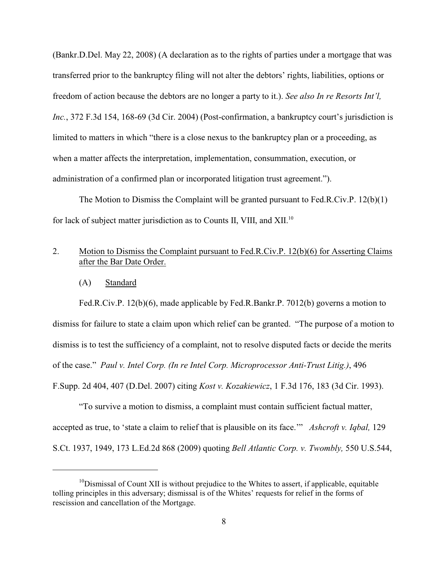(Bankr.D.Del. May 22, 2008) (A declaration as to the rights of parties under a mortgage that was transferred prior to the bankruptcy filing will not alter the debtors' rights, liabilities, options or freedom of action because the debtors are no longer a party to it.). *See also In re Resorts Int'l, Inc.*, 372 F.3d 154, 168-69 (3d Cir. 2004) (Post-confirmation, a bankruptcy court's jurisdiction is limited to matters in which "there is a close nexus to the bankruptcy plan or a proceeding, as when a matter affects the interpretation, implementation, consummation, execution, or administration of a confirmed plan or incorporated litigation trust agreement.").

The Motion to Dismiss the Complaint will be granted pursuant to Fed.R.Civ.P. 12(b)(1) for lack of subject matter jurisdiction as to Counts II, VIII, and XII.<sup>10</sup>

## 2. Motion to Dismiss the Complaint pursuant to Fed.R.Civ.P. 12(b)(6) for Asserting Claims after the Bar Date Order.

(A) Standard

Fed.R.Civ.P. 12(b)(6), made applicable by Fed.R.Bankr.P. 7012(b) governs a motion to dismiss for failure to state a claim upon which relief can be granted. "The purpose of a motion to dismiss is to test the sufficiency of a complaint, not to resolve disputed facts or decide the merits of the case." *Paul v. Intel Corp. (In re Intel Corp. Microprocessor Anti-Trust Litig.)*, 496 F.Supp. 2d 404, 407 (D.Del. 2007) citing *Kost v. Kozakiewicz*, 1 F.3d 176, 183 (3d Cir. 1993).

"To survive a motion to dismiss, a complaint must contain sufficient factual matter, accepted as true, to 'state a claim to relief that is plausible on its face.'" *Ashcroft v. Iqbal,* 129 S.Ct. 1937, 1949, 173 L.Ed.2d 868 (2009) quoting *Bell Atlantic Corp. v. Twombly,* 550 U.S.544,

 $10$ Dismissal of Count XII is without prejudice to the Whites to assert, if applicable, equitable tolling principles in this adversary; dismissal is of the Whites' requests for relief in the forms of rescission and cancellation of the Mortgage.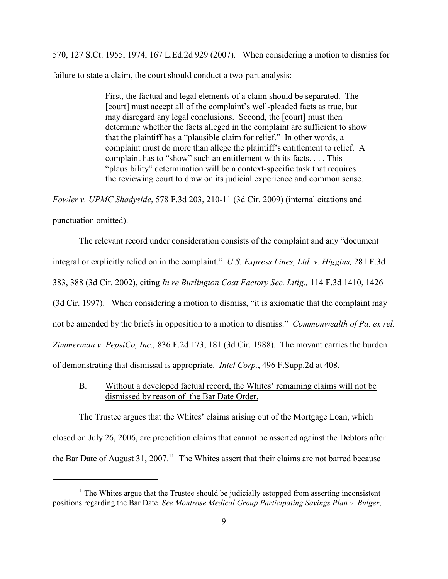570, 127 S.Ct. 1955, 1974, 167 L.Ed.2d 929 (2007). When considering a motion to dismiss for failure to state a claim, the court should conduct a two-part analysis:

> First, the factual and legal elements of a claim should be separated. The [court] must accept all of the complaint's well-pleaded facts as true, but may disregard any legal conclusions. Second, the [court] must then determine whether the facts alleged in the complaint are sufficient to show that the plaintiff has a "plausible claim for relief." In other words, a complaint must do more than allege the plaintiff's entitlement to relief. A complaint has to "show" such an entitlement with its facts. . . . This "plausibility" determination will be a context-specific task that requires the reviewing court to draw on its judicial experience and common sense.

*Fowler v. UPMC Shadyside*, 578 F.3d 203, 210-11 (3d Cir. 2009) (internal citations and

punctuation omitted).

The relevant record under consideration consists of the complaint and any "document integral or explicitly relied on in the complaint." *U.S. Express Lines, Ltd. v. Higgins,* 281 F.3d 383, 388 (3d Cir. 2002), citing *In re Burlington Coat Factory Sec. Litig.,* 114 F.3d 1410, 1426 (3d Cir. 1997). When considering a motion to dismiss, "it is axiomatic that the complaint may not be amended by the briefs in opposition to a motion to dismiss." *Commonwealth of Pa. ex rel. Zimmerman v. PepsiCo, Inc.,* 836 F.2d 173, 181 (3d Cir. 1988). The movant carries the burden of demonstrating that dismissal is appropriate. *Intel Corp.*, 496 F.Supp.2d at 408.

B. Without a developed factual record, the Whites' remaining claims will not be dismissed by reason of the Bar Date Order.

The Trustee argues that the Whites' claims arising out of the Mortgage Loan, which closed on July 26, 2006, are prepetition claims that cannot be asserted against the Debtors after the Bar Date of August 31, 2007.<sup>11</sup> The Whites assert that their claims are not barred because

 $11$ The Whites argue that the Trustee should be judicially estopped from asserting inconsistent positions regarding the Bar Date. *See Montrose Medical Group Participating Savings Plan v. Bulger*,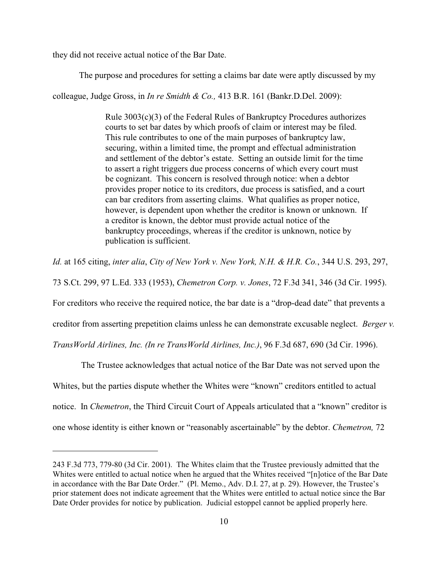they did not receive actual notice of the Bar Date.

The purpose and procedures for setting a claims bar date were aptly discussed by my

colleague, Judge Gross, in *In re Smidth & Co.,* 413 B.R. 161 (Bankr.D.Del. 2009):

Rule 3003(c)(3) of the Federal Rules of Bankruptcy Procedures authorizes courts to set bar dates by which proofs of claim or interest may be filed. This rule contributes to one of the main purposes of bankruptcy law, securing, within a limited time, the prompt and effectual administration and settlement of the debtor's estate. Setting an outside limit for the time to assert a right triggers due process concerns of which every court must be cognizant. This concern is resolved through notice: when a debtor provides proper notice to its creditors, due process is satisfied, and a court can bar creditors from asserting claims. What qualifies as proper notice, however, is dependent upon whether the creditor is known or unknown. If a creditor is known, the debtor must provide actual notice of the bankruptcy proceedings, whereas if the creditor is unknown, notice by publication is sufficient.

*Id.* at 165 citing, *inter alia*, *City of New York v. New York, N.H. & H.R. Co.*, 344 U.S. 293, 297,

73 S.Ct. 299, 97 L.Ed. 333 (1953), *Chemetron Corp. v. Jones*, 72 F.3d 341, 346 (3d Cir. 1995).

For creditors who receive the required notice, the bar date is a "drop-dead date" that prevents a

creditor from asserting prepetition claims unless he can demonstrate excusable neglect. *Berger v.*

*TransWorld Airlines, Inc. (In re TransWorld Airlines, Inc.)*, 96 F.3d 687, 690 (3d Cir. 1996).

 The Trustee acknowledges that actual notice of the Bar Date was not served upon the Whites, but the parties dispute whether the Whites were "known" creditors entitled to actual notice. In *Chemetron*, the Third Circuit Court of Appeals articulated that a "known" creditor is one whose identity is either known or "reasonably ascertainable" by the debtor. *Chemetron,* 72

<sup>243</sup> F.3d 773, 779-80 (3d Cir. 2001). The Whites claim that the Trustee previously admitted that the Whites were entitled to actual notice when he argued that the Whites received "[n]otice of the Bar Date in accordance with the Bar Date Order." (Pl. Memo., Adv. D.I. 27, at p. 29). However, the Trustee's prior statement does not indicate agreement that the Whites were entitled to actual notice since the Bar Date Order provides for notice by publication. Judicial estoppel cannot be applied properly here.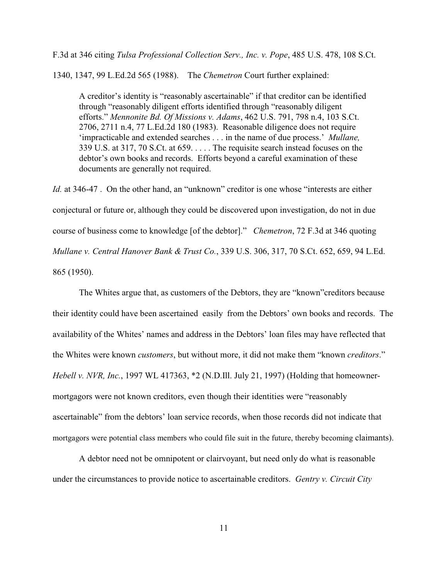F.3d at 346 citing *Tulsa Professional Collection Serv., Inc. v. Pope*, 485 U.S. 478, 108 S.Ct.

1340, 1347, 99 L.Ed.2d 565 (1988). The *Chemetron* Court further explained:

A creditor's identity is "reasonably ascertainable" if that creditor can be identified through "reasonably diligent efforts identified through "reasonably diligent efforts." *Mennonite Bd. Of Missions v. Adams*, 462 U.S. 791, 798 n.4, 103 S.Ct. 2706, 2711 n.4, 77 L.Ed.2d 180 (1983). Reasonable diligence does not require 'impracticable and extended searches . . . in the name of due process.' *Mullane,* 339 U.S. at 317, 70 S.Ct. at 659. . . . . The requisite search instead focuses on the debtor's own books and records. Efforts beyond a careful examination of these documents are generally not required.

*Id.* at 346-47. On the other hand, an "unknown" creditor is one whose "interests are either conjectural or future or, although they could be discovered upon investigation, do not in due course of business come to knowledge [of the debtor]." *Chemetron*, 72 F.3d at 346 quoting *Mullane v. Central Hanover Bank & Trust Co.*, 339 U.S. 306, 317, 70 S.Ct. 652, 659, 94 L.Ed. 865 (1950).

The Whites argue that, as customers of the Debtors, they are "known"creditors because their identity could have been ascertained easily from the Debtors' own books and records. The availability of the Whites' names and address in the Debtors' loan files may have reflected that the Whites were known *customers*, but without more, it did not make them "known *creditors*." *Hebell v. NVR, Inc.*, 1997 WL 417363, \*2 (N.D.Ill. July 21, 1997) (Holding that homeownermortgagors were not known creditors, even though their identities were "reasonably ascertainable" from the debtors' loan service records, when those records did not indicate that mortgagors were potential class members who could file suit in the future, thereby becoming claimants).

A debtor need not be omnipotent or clairvoyant, but need only do what is reasonable under the circumstances to provide notice to ascertainable creditors. *Gentry v. Circuit City*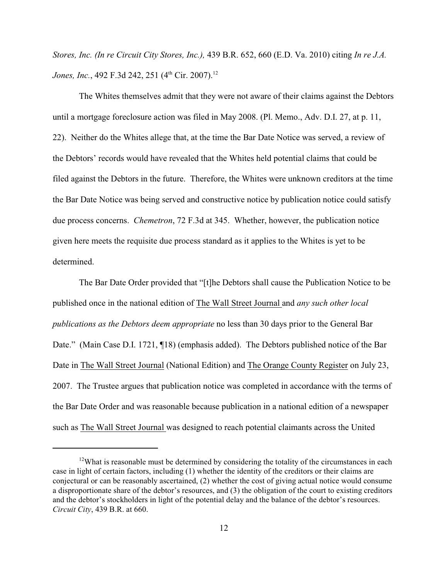*Stores, Inc. (In re Circuit City Stores, Inc.),* 439 B.R. 652, 660 (E.D. Va. 2010) citing *In re J.A. Jones, Inc.*, 492 F.3d 242, 251 (4<sup>th</sup> Cir. 2007).<sup>12</sup>

The Whites themselves admit that they were not aware of their claims against the Debtors until a mortgage foreclosure action was filed in May 2008. (Pl. Memo., Adv. D.I. 27, at p. 11, 22). Neither do the Whites allege that, at the time the Bar Date Notice was served, a review of the Debtors' records would have revealed that the Whites held potential claims that could be filed against the Debtors in the future. Therefore, the Whites were unknown creditors at the time the Bar Date Notice was being served and constructive notice by publication notice could satisfy due process concerns. *Chemetron*, 72 F.3d at 345. Whether, however, the publication notice given here meets the requisite due process standard as it applies to the Whites is yet to be determined.

The Bar Date Order provided that "[t]he Debtors shall cause the Publication Notice to be published once in the national edition of The Wall Street Journal and *any such other local publications as the Debtors deem appropriate* no less than 30 days prior to the General Bar Date." (Main Case D.I. 1721, ¶18) (emphasis added). The Debtors published notice of the Bar Date in The Wall Street Journal (National Edition) and The Orange County Register on July 23, 2007. The Trustee argues that publication notice was completed in accordance with the terms of the Bar Date Order and was reasonable because publication in a national edition of a newspaper such as The Wall Street Journal was designed to reach potential claimants across the United

 $12$ What is reasonable must be determined by considering the totality of the circumstances in each case in light of certain factors, including (1) whether the identity of the creditors or their claims are conjectural or can be reasonably ascertained, (2) whether the cost of giving actual notice would consume a disproportionate share of the debtor's resources, and (3) the obligation of the court to existing creditors and the debtor's stockholders in light of the potential delay and the balance of the debtor's resources. *Circuit City*, 439 B.R. at 660.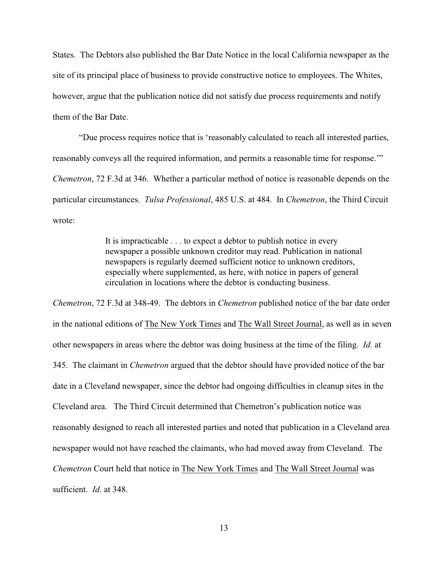States. The Debtors also published the Bar Date Notice in the local California newspaper as the site of its principal place of business to provide constructive notice to employees. The Whites, however, argue that the publication notice did not satisfy due process requirements and notify them of the Bar Date.

"Due process requires notice that is 'reasonably calculated to reach all interested parties, reasonably conveys all the required information, and permits a reasonable time for response.'" *Chemetron*, 72 F.3d at 346. Whether a particular method of notice is reasonable depends on the particular circumstances. *Tulsa Professional*, 485 U.S. at 484. In *Chemetron*, the Third Circuit wrote:

> It is impracticable . . . to expect a debtor to publish notice in every newspaper a possible unknown creditor may read. Publication in national newspapers is regularly deemed sufficient notice to unknown creditors, especially where supplemented, as here, with notice in papers of general circulation in locations where the debtor is conducting business.

*Chemetron*, 72 F.3d at 348-49. The debtors in *Chemetron* published notice of the bar date order in the national editions of The New York Times and The Wall Street Journal, as well as in seven other newspapers in areas where the debtor was doing business at the time of the filing. *Id.* at 345. The claimant in *Chemetron* argued that the debtor should have provided notice of the bar date in a Cleveland newspaper, since the debtor had ongoing difficulties in cleanup sites in the Cleveland area. The Third Circuit determined that Chemetron's publication notice was reasonably designed to reach all interested parties and noted that publication in a Cleveland area newspaper would not have reached the claimants, who had moved away from Cleveland. The *Chemetron* Court held that notice in The New York Times and The Wall Street Journal was sufficient. *Id.* at 348.